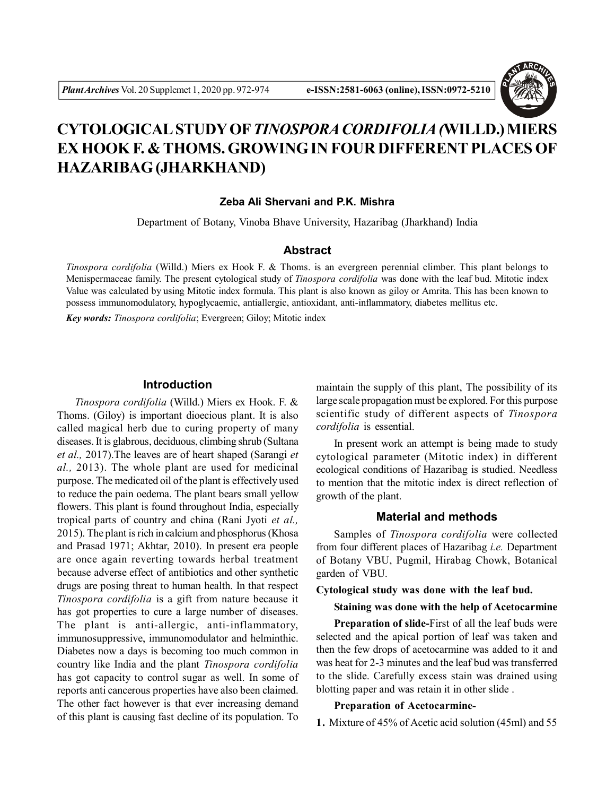

# **CYTOLOGICAL STUDY OF** *TINOSPORA CORDIFOLIA (***WILLD.) MIERS EX HOOK F. & THOMS. GROWING IN FOUR DIFFERENT PLACES OF HAZARIBAG (JHARKHAND)**

### **Zeba Ali Shervani and P.K. Mishra**

Department of Botany, Vinoba Bhave University, Hazaribag (Jharkhand) India

## **Abstract**

*Tinospora cordifolia* (Willd.) Miers ex Hook F. & Thoms. is an evergreen perennial climber. This plant belongs to Menispermaceae family. The present cytological study of *Tinospora cordifolia* was done with the leaf bud. Mitotic index Value was calculated by using Mitotic index formula. This plant is also known as giloy or Amrita. This has been known to possess immunomodulatory, hypoglycaemic, antiallergic, antioxidant, anti-inflammatory, diabetes mellitus etc.

*Key words: Tinospora cordifolia*; Evergreen; Giloy; Mitotic index

#### **Introduction**

*Tinospora cordifolia* (Willd.) Miers ex Hook. F. & Thoms. (Giloy) is important dioecious plant. It is also called magical herb due to curing property of many diseases. It is glabrous, deciduous, climbing shrub (Sultana *et al.,* 2017).The leaves are of heart shaped (Sarangi *et al.,* 2013). The whole plant are used for medicinal purpose. The medicated oil of the plant is effectively used to reduce the pain oedema. The plant bears small yellow flowers. This plant is found throughout India, especially tropical parts of country and china (Rani Jyoti *et al.,* 2015). The plant is rich in calcium and phosphorus (Khosa and Prasad 1971; Akhtar, 2010). In present era people are once again reverting towards herbal treatment because adverse effect of antibiotics and other synthetic drugs are posing threat to human health. In that respect *Tinospora cordifolia* is a gift from nature because it has got properties to cure a large number of diseases. The plant is anti-allergic, anti-inflammatory, immunosuppressive, immunomodulator and helminthic. Diabetes now a days is becoming too much common in country like India and the plant *Tinospora cordifolia* has got capacity to control sugar as well. In some of reports anti cancerous properties have also been claimed. The other fact however is that ever increasing demand of this plant is causing fast decline of its population. To

maintain the supply of this plant, The possibility of its large scale propagation must be explored. For this purpose scientific study of different aspects of *Tinospora cordifolia* is essential.

In present work an attempt is being made to study cytological parameter (Mitotic index) in different ecological conditions of Hazaribag is studied. Needless to mention that the mitotic index is direct reflection of growth of the plant.

## **Material and methods**

Samples of *Tinospora cordifolia* were collected from four different places of Hazaribag *i.e.* Department of Botany VBU, Pugmil, Hirabag Chowk, Botanical garden of VBU.

**Cytological study was done with the leaf bud.**

**Staining was done with the help of Acetocarmine**

**Preparation of slide-**First of all the leaf buds were selected and the apical portion of leaf was taken and then the few drops of acetocarmine was added to it and was heat for 2-3 minutes and the leaf bud was transferred to the slide. Carefully excess stain was drained using blotting paper and was retain it in other slide .

#### **Preparation of Acetocarmine-**

**1.** Mixture of 45% of Acetic acid solution (45ml) and 55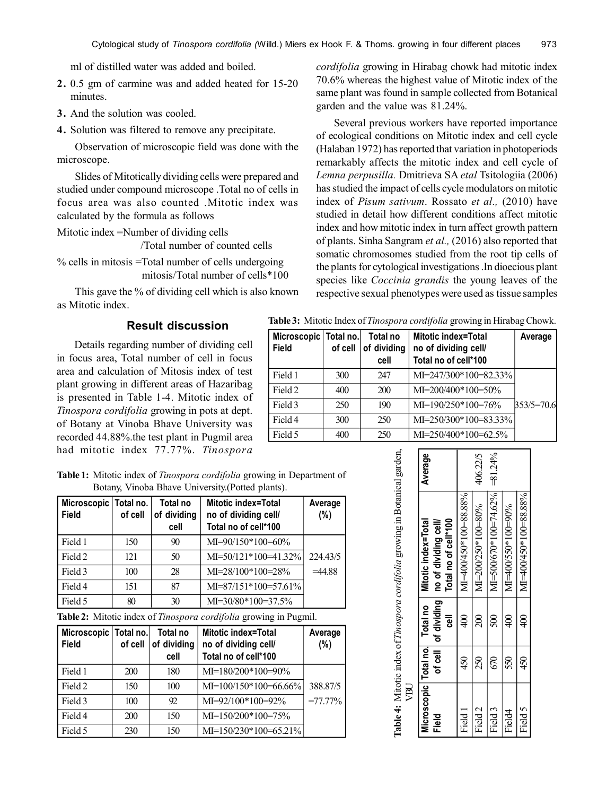ml of distilled water was added and boiled.

- **2.** 0.5 gm of carmine was and added heated for 15-20 minutes.
- **3.** And the solution was cooled.
- **4.** Solution was filtered to remove any precipitate.

Observation of microscopic field was done with the microscope.

Slides of Mitotically dividing cells were prepared and studied under compound microscope .Total no of cells in focus area was also counted .Mitotic index was calculated by the formula as follows

Mitotic index =Number of dividing cells

/Total number of counted cells

% cells in mitosis =Total number of cells undergoing mitosis/Total number of cells\*100

This gave the % of dividing cell which is also known as Mitotic index.

# **Result discussion**

Details regarding number of dividing cell in focus area, Total number of cell in focus area and calculation of Mitosis index of test plant growing in different areas of Hazaribag is presented in Table 1-4. Mitotic index of *Tinospora cordifolia* growing in pots at dept. of Botany at Vinoba Bhave University was recorded 44.88%.the test plant in Pugmil area had mitotic index 77.77%. *Tinospora* *cordifolia* growing in Hirabag chowk had mitotic index 70.6% whereas the highest value of Mitotic index of the same plant was found in sample collected from Botanical garden and the value was 81.24%.

Several previous workers have reported importance of ecological conditions on Mitotic index and cell cycle (Halaban 1972) has reported that variation in photoperiods remarkably affects the mitotic index and cell cycle of *Lemna perpusilla.* Dmitrieva SA *etal* Tsitologiia (2006) has studied the impact of cells cycle modulators on mitotic index of *Pisum sativum*. Rossato *et al.,* (2010) have studied in detail how different conditions affect mitotic index and how mitotic index in turn affect growth pattern of plants. Sinha Sangram *et al.,* (2016) also reported that somatic chromosomes studied from the root tip cells of the plants for cytological investigations .In dioecious plant species like *Coccinia grandis* the young leaves of the respective sexual phenotypes were used as tissue samples

|        | licroscopic   Total no.   Total no   Mitotic index=Total  |  |  | Average |  |
|--------|-----------------------------------------------------------|--|--|---------|--|
| ادا ہ: | اللوم ومزادات نامركم ومراروه بالمترباط كمرار الممركم بالر |  |  |         |  |

**Table 3:** Mitotic Index of *Tinospora cordifolia* growing in Hirabag Chowk.

| Microscopic   Total no.<br>Field | of cell | Total no<br>of dividing<br>cell | <b>Mitotic index=Total</b><br>no of dividing cell/<br>Total no of cell*100 | Average      |
|----------------------------------|---------|---------------------------------|----------------------------------------------------------------------------|--------------|
| Field 1                          | 300     | 247                             | $MI = 247/300*100 = 82.33%$                                                |              |
| Field 2                          | 400     | 200                             | $MI = 200/400*100=50%$                                                     |              |
| Field 3                          | 250     | 190                             | $MI=190/250*100=76%$                                                       | $353/5=70.6$ |
| Field 4                          | 300     | 250                             | $MI = 250/300*100 = 83.33%$                                                |              |
| Field 5                          | 400     | 250                             | $MI = 250/400*100 = 62.5%$                                                 |              |

**Table 1:** Mitotic index of *Tinospora cordifolia* growing in Department of Botany, Vinoba Bhave University.(Potted plants).

| Microscopic Total no.<br><b>Field</b> | of cell | Total no<br>of dividing<br>cell | <b>Mitotic index=Total</b><br>no of dividing cell/<br>Total no of cell*100 | Average<br>(%) |
|---------------------------------------|---------|---------------------------------|----------------------------------------------------------------------------|----------------|
| Field 1                               | 150     | 90                              | $MI=90/150*100=60%$                                                        |                |
| Field 2                               | 121     | 50                              | $MI = 50/121 * 100 = 41.32%$                                               | 224.43/5       |
| Field 3                               | 100     | 28                              | $MI = 28/100*100 = 28%$                                                    | $=44.88$       |
| Field 4                               | 151     | 87                              | $MI=87/151*100=57.61\%$                                                    |                |
| Field 5                               | 80      | 30                              | MI=30/80*100=37.5%                                                         |                |

**Table 2:** Mitotic index of *Tinospora cordifolia* growing in Pugmil.

| Microscopic Total no.<br>Field | $of$ cell $ $ | Total no<br>of dividing<br>cell | Mitotic index=Total<br>no of dividing cell/<br>Total no of cell*100 | Average<br>$(\%)$ |
|--------------------------------|---------------|---------------------------------|---------------------------------------------------------------------|-------------------|
| Field 1                        | 200           | 180                             | $MI=180/200*100=90%$                                                |                   |
| Field 2                        | 150           | 100                             | MI=100/150*100=66.66%                                               | 388.87/5          |
| Field 3                        | 100           | 92                              | MI=92/100*100=92%                                                   | $=77.77\%$        |
| Field 4                        | 200           | 150                             | $MI=150/200*100=75%$                                                |                   |
| Field 5                        | 230           | 150                             | $MI=150/230*100=65.21%$                                             |                   |

| UBLJ               |     |                 | Table 4: Mitotic index of Tinospora cordifolia growing in Botanical garden,                                                  |             |  |
|--------------------|-----|-----------------|------------------------------------------------------------------------------------------------------------------------------|-------------|--|
| Field              |     | ᇹ               | Total no of cell*100<br>Microscopic   Total no.   Total no   Mitotic index=Total<br>of cell of dividing no of dividing cell/ | Average     |  |
| Field <sub>1</sub> | 450 | $\frac{400}{5}$ | MI=400/450*100=88.88%                                                                                                        |             |  |
| Field <sub>2</sub> | 250 | $\infty$        | $M = 200/250*100=80%$                                                                                                        | 406.22/5    |  |
| Field <sub>3</sub> | 670 | $\Im$           | $M = 500/670*100 = 74.62%$                                                                                                   | $= 81.24\%$ |  |
| Field4             | 550 | $\frac{400}{5}$ | $M=400/550*100=90%$                                                                                                          |             |  |
| Field 5            | 450 | ্র              | $\text{M}$ =400450*100=88.88%                                                                                                |             |  |
|                    |     |                 |                                                                                                                              |             |  |